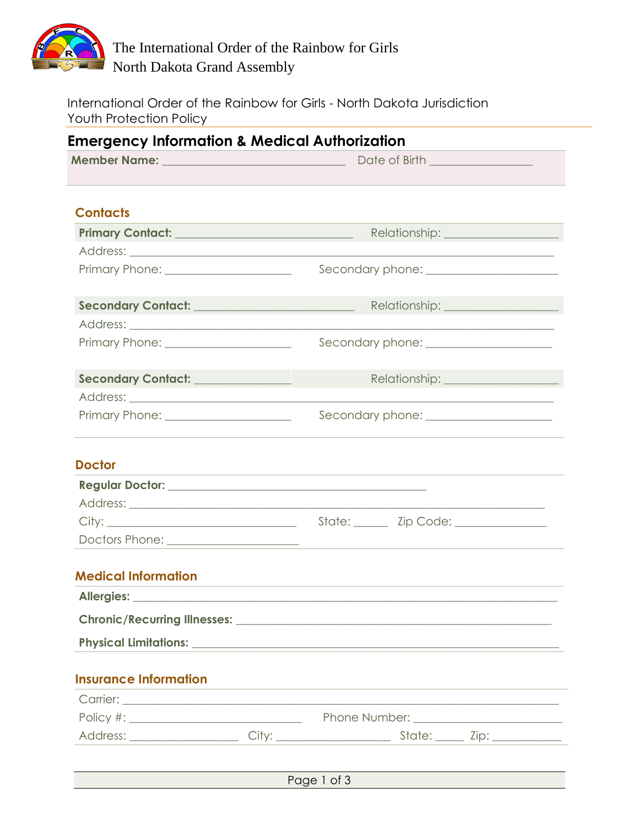

International Order of the Rainbow for Girls - North Dakota Jurisdiction Youth Protection Policy

| <b>Emergency Information &amp; Medical Authorization</b>                                                               |                                                                                    |  |  |
|------------------------------------------------------------------------------------------------------------------------|------------------------------------------------------------------------------------|--|--|
|                                                                                                                        | Date of Birth _________________                                                    |  |  |
|                                                                                                                        |                                                                                    |  |  |
| <b>Contacts</b>                                                                                                        |                                                                                    |  |  |
| Primary Contact:                                                                                                       |                                                                                    |  |  |
|                                                                                                                        |                                                                                    |  |  |
| Primary Phone: _______________________                                                                                 |                                                                                    |  |  |
|                                                                                                                        |                                                                                    |  |  |
| Secondary Contact: _________________________                                                                           | Relationship: ____________________                                                 |  |  |
|                                                                                                                        |                                                                                    |  |  |
| Primary Phone: <u>New York Charles Andrew York Charles Andrew York Charles Andrew York Charles Andrew York Charles</u> | Secondary phone: <u>contract and contract and contract of the secondary phone:</u> |  |  |
| Secondary Contact: ______________                                                                                      | Relationship: 2000                                                                 |  |  |
|                                                                                                                        |                                                                                    |  |  |
|                                                                                                                        | Secondary phone: ____________________                                              |  |  |
| <b>Doctor</b>                                                                                                          |                                                                                    |  |  |
|                                                                                                                        | <u> 1989 - Johann Stoff, amerikansk politiker (* 1908)</u>                         |  |  |
|                                                                                                                        |                                                                                    |  |  |
|                                                                                                                        | State: ______ Zip Code: _____________                                              |  |  |
|                                                                                                                        |                                                                                    |  |  |
|                                                                                                                        |                                                                                    |  |  |
| <b>Medical Information</b>                                                                                             |                                                                                    |  |  |
|                                                                                                                        |                                                                                    |  |  |
|                                                                                                                        |                                                                                    |  |  |
|                                                                                                                        |                                                                                    |  |  |
|                                                                                                                        |                                                                                    |  |  |
| <b>Insurance Information</b>                                                                                           | ,我们也不能在这里的时候,我们也不能会在这里,我们也不能会在这里的时候,我们也不能会在这里的时候,我们也不能会在这里的时候,我们也不能会在这里的时候,我们也不能   |  |  |
|                                                                                                                        |                                                                                    |  |  |
|                                                                                                                        |                                                                                    |  |  |
|                                                                                                                        |                                                                                    |  |  |

| Page 1 of 3 |  |  |  |
|-------------|--|--|--|
|-------------|--|--|--|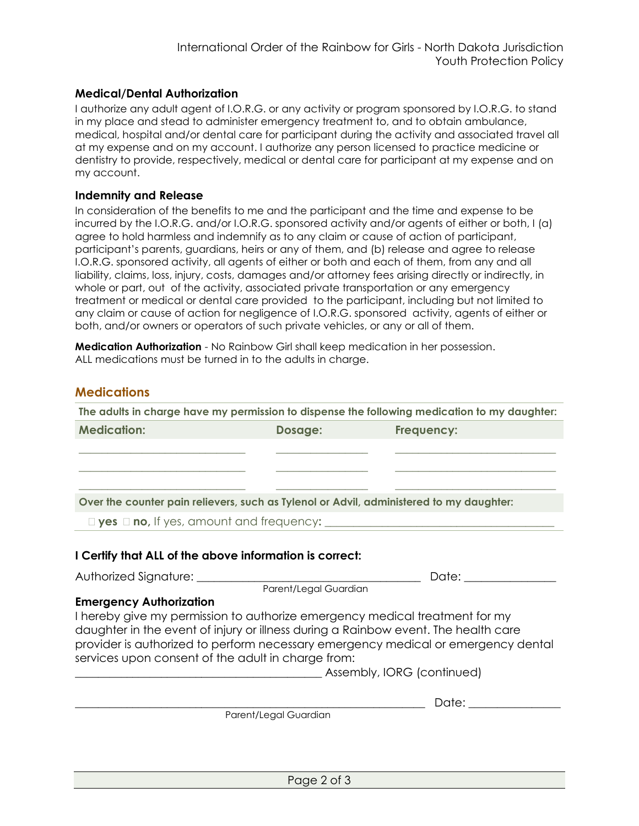## **Medical/Dental Authorization**

I authorize any adult agent of I.O.R.G. or any activity or program sponsored by I.O.R.G. to stand in my place and stead to administer emergency treatment to, and to obtain ambulance, medical, hospital and/or dental care for participant during the activity and associated travel all at my expense and on my account. I authorize any person licensed to practice medicine or dentistry to provide, respectively, medical or dental care for participant at my expense and on my account.

## **Indemnity and Release**

In consideration of the benefits to me and the participant and the time and expense to be incurred by the I.O.R.G. and/or I.O.R.G. sponsored activity and/or agents of either or both, I (a) agree to hold harmless and indemnify as to any claim or cause of action of participant, participant's parents, guardians, heirs or any of them, and (b) release and agree to release I.O.R.G. sponsored activity, all agents of either or both and each of them, from any and all liability, claims, loss, injury, costs, damages and/or attorney fees arising directly or indirectly, in whole or part, out of the activity, associated private transportation or any emergency treatment or medical or dental care provided to the participant, including but not limited to any claim or cause of action for negligence of I.O.R.G. sponsored activity, agents of either or both, and/or owners or operators of such private vehicles, or any or all of them.

**Medication Authorization** - No Rainbow Girl shall keep medication in her possession. ALL medications must be turned in to the adults in charge.

## **Medications**

| Over the counter pain relievers, such as Tylenol or Advil, administered to my daughter: |                                                                                                                                                                                                                                |
|-----------------------------------------------------------------------------------------|--------------------------------------------------------------------------------------------------------------------------------------------------------------------------------------------------------------------------------|
|                                                                                         |                                                                                                                                                                                                                                |
|                                                                                         |                                                                                                                                                                                                                                |
|                                                                                         |                                                                                                                                                                                                                                |
|                                                                                         |                                                                                                                                                                                                                                |
|                                                                                         |                                                                                                                                                                                                                                |
|                                                                                         |                                                                                                                                                                                                                                |
| I Certify that ALL of the above information is correct:                                 |                                                                                                                                                                                                                                |
|                                                                                         | Date: the contract of the contract of the contract of the contract of the contract of the contract of the contract of the contract of the contract of the contract of the contract of the contract of the contract of the cont |
|                                                                                         | Parent/Legal Guardian                                                                                                                                                                                                          |
| <b>Emergency Authorization</b>                                                          |                                                                                                                                                                                                                                |
| I hereby give my permission to authorize emergency medical treatment for my             |                                                                                                                                                                                                                                |
| daughter in the event of injury or illness during a Rainbow event. The health care      |                                                                                                                                                                                                                                |
|                                                                                         | provider is authorized to perform necessary emergency medical or emergency dental                                                                                                                                              |
| services upon consent of the adult in charge from:                                      |                                                                                                                                                                                                                                |
|                                                                                         | Assembly, IORG (continued)                                                                                                                                                                                                     |
|                                                                                         | Date: Date:                                                                                                                                                                                                                    |
| Parent/Legal Guardian                                                                   |                                                                                                                                                                                                                                |
|                                                                                         |                                                                                                                                                                                                                                |

Page 2 of 3